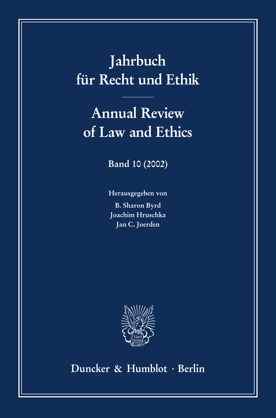# **Jahrbuch für Recht und Ethik**

# **Annual Review of Law and Ethics**

**Band 10 (2002)**

**Herausgegeben von B. Sharon Byrd Joachim Hruschka Jan C. Joerden**



**Duncker & Humblot · Berlin**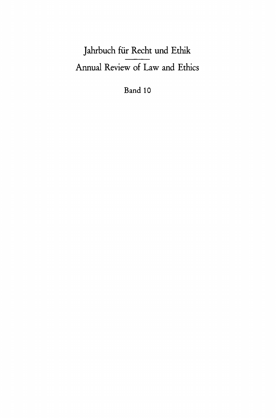## Jahrbuch für Recht und Ethik Annual Review of Law and Ethics

Band 10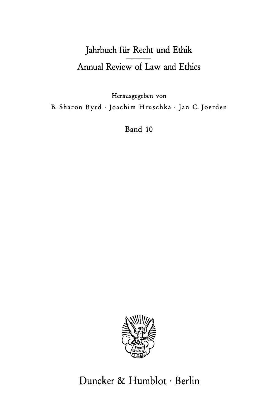### Jahrbuch für Recht und Ethik Annual Review of Law and Ethics

Herausgegeben von B. Sharon Byrd · Joachim Hruschka · Jan C. Joerden

Band 10



### Duncker & Humblot · Berlin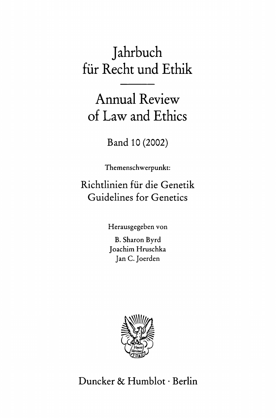## Jahrbuch für Recht und Ethik

Annual Review of Law and Ethics

Band 10 (2002)

Themenschwerpunkt:

Richtlinien für die Genetik Guidelines for Genetics

Herausgegeben von

B. Sharon Byrd Joachim Hruschka Jan C. Joerden



Duncker & Humblot · Berlin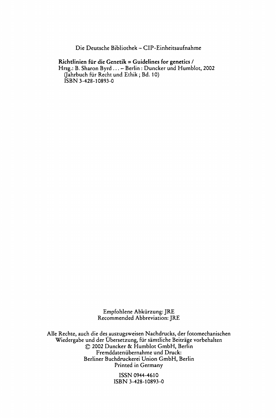**Die Deutsche Bibliothek - CIP-Einheitsaufnahme** 

#### **Richtlinien für die Genetik = Guidelines for genetics /**

**Hrsg.: Β. Sharon Byrd ... - Berlin : Duncker und Humblot, 2002 (Jahrbuch für Recht und Ethik ; Bd. 10) ISBN 3-428-10893-0** 

> **Empfohlene Abkürzung: JRE Recommended Abbreviation: JRE**

**Alle Rechte, auch die des auszugsweisen Nachdrucks, der fotomechanischen Wiedergabe und der Übersetzung, für sämtliche Beiträge vorbehalten © 2002 Duncker & Humblot GmbH, Berlin Fremddatenübernahme und Druck: Berliner Buchdruckerei Union GmbH, Berlin Printed in Germany** 

> **ISSN 0944-4610 ISBN 3-428-10893-0**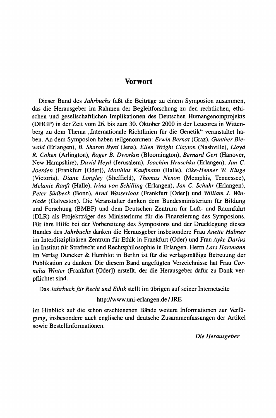#### **Vorwort**

Dieser Band des *Jahrbuchs* faßt die Beiträge zu einem Symposion zusammen, das die Herausgeber im Rahmen der Begleitforschung zu den rechtlichen, ethischen und gesellschaftlichen Implikationen des Deutschen Humangenomprojekts (DHGP) in der Zeit vom 26. bis zum 30. Oktober 2000 in der Leucorea in Wittenberg zu dem Thema "Internationale Richtlinien für die Genetik" veranstaltet haben. An dem Symposion haben teilgenommen: *Erwin Bernal* (Graz), *Gunther Biewald* (Erlangen), *B. Sharon Byrd* (Jena), *Ellen Wright Clayton* (Nashville), *Lloyd R. Cohen* (Arlington), *Roger B. Dworkin* (Bloomington), *Bernard Gert* (Hanover, New Hampshire), *David Heyd* (Jerusalem), *Joachim Hruschka* (Erlangen), *Jan* C *Joerden* (Frankfurt [Oder]), *Matthias Kaufmann* (Halle), *Eike-tìenner W. Kluge*  (Victoria), *Diane Longley* (Sheffield), *Thomas Nenon* (Memphis, Tennessee), *Melanie Ranft* (Halle), *Irina von Schilling* (Erlangen), *Jan C. Schuhr* (Erlangen), *Peter Südbeck* (Bonn), *Arnd Wasserloos* (Frankfurt [Oder]) und *William J. Winslade* (Galveston). Die Veranstalter danken dem Bundesministerium für Bildung und Forschung (BMBF) und dem Deutschen Zentrum für Luft- und Raumfahrt (DLR) als Projektträger des Ministeriums für die Finanzierung des Symposions. Für ihre Hilfe bei der Vorbereitung des Symposions und der Drucklegung dieses Bandes des *Jahrbuchs* danken die Herausgeber insbesondere Frau *Anette Hübner*  im Interdisziplinären Zentrum für Ethik in Frankfurt (Oder) und Frau *Ayke Darius*  im Institut für Strafrecht und Rechtsphilosophie in Erlangen. Herrn *Lars Hartmann*  im Verlag Duncker & Humblot in Berlin ist für die verlagsmäßige Betreuung der Publikation zu danken. Die diesem Band angefügten Verzeichnisse hat Frau *Cornelia Winter* (Frankfurt [Oder]) erstellt, der die Herausgeber dafür zu Dank verpflichtet sind.

Das *Jahrbuch für Recht und Ethik* stellt im übrigen auf seiner Internetseite

#### <http://www.uni-erlangen.de> / JRE

im Hinblick auf die schon erschienenen Bände weitere Informationen zur Verfügung, insbesondere auch englische und deutsche Zusammenfassungen der Artikel sowie Bestellinformationen.

*Die Herausgeber*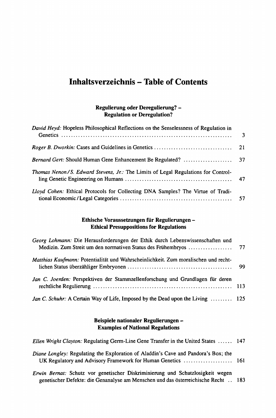### **Inhaltsverzeichnis - Table of Contents**

#### **Regulierung oder Deregulierung? - Regulation or Deregulation?**

| David Heyd: Hopeless Philosophical Reflections on the Senselessness of Regulation in | 3 |
|--------------------------------------------------------------------------------------|---|
|                                                                                      |   |
|                                                                                      |   |
| Thomas Nenon/S. Edward Stevens, Jr.: The Limits of Legal Regulations for Control-    |   |
| Lloyd Cohen: Ethical Protocols for Collecting DNA Samples? The Virtue of Tradi-      |   |

#### **Ethische Voraussetzungen für Regulierungen - Ethical Presuppositions for Regulations**

| Georg Lohmann: Die Herausforderungen der Ethik durch Lebenswissenschaften und                            |  |
|----------------------------------------------------------------------------------------------------------|--|
| Matthias Kaufmann: Potentialität und Wahrscheinlichkeit. Zum moralischen und recht-                      |  |
| Jan C. Joerden: Perspektiven der Stammzellenforschung und Grundlagen für deren                           |  |
| <i>Jan C. Schuhr:</i> A Certain Way of Life, Imposed by the Dead upon the Living $\dots \dots \dots$ 125 |  |

#### **Beispiele nationaler Regulierungen - Examples of National Regulations**

| Ellen Wright Clayton: Regulating Germ-Line Gene Transfer in the United States  147        |  |
|-------------------------------------------------------------------------------------------|--|
| <i>Diane Longley:</i> Regulating the Exploration of Aladdin's Cave and Pandora's Box; the |  |
| Erwin Bernat: Schutz vor genetischer Diskriminierung und Schutzlosigkeit wegen            |  |

**genetischer Defekte: die Genanalyse am Menschen und das österreichische Recht .. 183**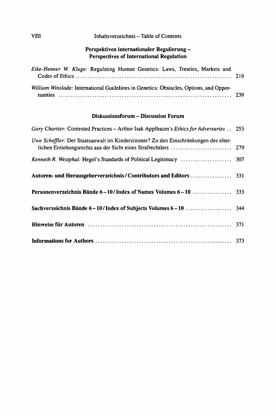#### vm **Inhaltsverzeichnis - Table of Contents**

#### **Perspektiven internationaler Regulierung - Perspectives of Internationa] Regulation**

| Eike-Henner W. Kluge: Regulating Human Genetics: Laws, Treaties, Markets and           |  |
|----------------------------------------------------------------------------------------|--|
| William Winslade: International Guidelines in Genetics: Obstacles, Options, and Oppor- |  |

#### **Diskussionsforum - Discussion Forum**

| Gary Chartier: Contested Practices – Arthur Isak Applbaum's Ethics for Adversaries 253 |  |
|----------------------------------------------------------------------------------------|--|
| Uwe Scheffler: Der Staatsanwalt im Kinderzimmer? Zu den Einschränkungen des elter-     |  |
|                                                                                        |  |
|                                                                                        |  |
|                                                                                        |  |
|                                                                                        |  |
|                                                                                        |  |
|                                                                                        |  |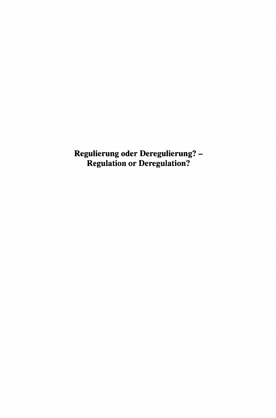**Regulierung oder Deregulierung? - Regulation or Deregulation?**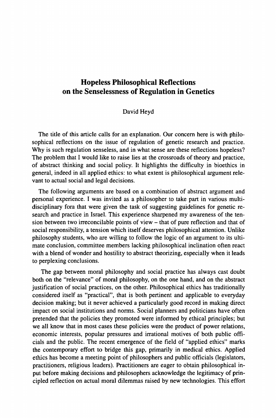### **Hopeless Philosophical Reflections on the Senselessness of Regulation in Genetics**

#### David Heyd

<span id="page-11-0"></span>The title of this article calls for an explanation. Our concern here is with philosophical reflections on the issue of regulation of genetic research and practice. Why is such regulation senseless, and in what sense are these reflections hopeless? The problem that I would like to raise lies at the crossroads of theory and practice, of abstract thinking and social policy. It highlights the difficulty in bioethics in general, indeed in all applied ethics: to what extent is philosophical argument relevant to actual social and legal decisions.

The following arguments are based on a combination of abstract argument and personal experience. I was invited as a philosopher to take part in various multidisciplinary fora that were given the task of suggesting guidelines for genetic research and practice in Israel. This experience sharpened my awareness of the tension between two irreconcilable points of view - that of pure reflection and that of social responsibility, a tension which itself deserves philosophical attention. Unlike philosophy students, who are willing to follow the logic of an argument to its ultimate conclusion, committee members lacking philosophical inclination often react with a blend of wonder and hostility to abstract theorizing, especially when it leads to perplexing conclusions.

The gap between moral philosophy and social practice has always cast doubt both on the "relevance" of moral philosophy, on the one hand, and on the abstract justification of social practices, on the other. Philosophical ethics has traditionally considered itself as "practical", that is both pertinent and applicable to everyday decision making; but it never achieved a particularly good record in making direct impact on social institutions and norms. Social planners and politicians have often pretended that the policies they promoted were informed by ethical principles; but we all know that in most cases these policies were the product of power relations, economic interests, popular pressures and irrational motives of both public officials and the public. The recent emergence of the field of "applied ethics" marks the contemporary effort to bridge this gap, primarily in medical ethics. Applied ethics has become a meeting point of philosophers and public officials (legislators, practitioners, religious leaders). Practitioners are eager to obtain philosophical input before making decisions and philosophers acknowledge the legitimacy of principled reflection on actual moral dilemmas raised by new technologies. This effort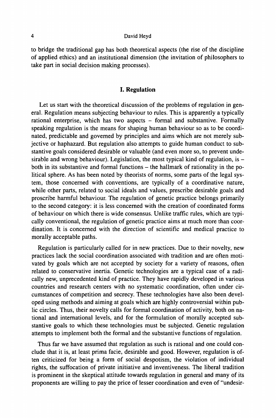#### **4 David Heyd**

to bridge the traditional gap has both theoretical aspects (the rise of the discipline of applied ethics) and an institutional dimension (the invitation of philosophers to take part in social decision making processes).

#### **I. Regulation**

Let us start with the theoretical discussion of the problems of regulation in general. Regulation means subjecting behaviour to rules. This is apparently a typically rational enterprise, which has two aspects - formal and substantive. Formally speaking regulation is the means for shaping human behaviour so as to be coordinated, predictable and governed by principles and aims which are not merely subjective or haphazard. But regulation also attempts to guide human conduct to substantive goals considered desirable or valuable (and even more so, to prevent undesirable and wrong behaviour). Legislation, the most typical kind of regulation, is  $$ both in its substantive and formal functions - the hallmark of rationality in the political sphere. As has been noted by theorists of norms, some parts of the legal system, those concerned with conventions, are typically of a coordinative nature, while other parts, related to social ideals and values, prescribe desirable goals and proscribe harmful behaviour. The regulation of genetic practice belongs primarily to the second category: it is less concerned with the creation of coordinated forms of behaviour on which there is wide consensus. Unlike traffic rules, which are typically conventional, the regulation of genetic practice aims at much more than coordination. It is concerned with the direction of scientific and medical practice to morally acceptable paths.

Regulation is particularly called for in new practices. Due to their novelty, new practices lack the social coordination associated with tradition and are often motivated by goals which are not accepted by society for a variety of reasons, often related to conservative inertia. Genetic technologies are a typical case of a radically new, unprecedented kind of practice. They have rapidly developed in various countries and research centers with no systematic coordination, often under circumstances of competition and secrecy. These technologies have also been developed using methods and aiming at goals which are highly controversial within public circles. Thus, their novelty calls for formal coordination of activity, both on national and international levels, and for the formulation of morally accepted substantive goals to which these technologies must be subjected. Genetic regulation attempts to implement both the formal and the substantive functions of regulation.

Thus far we have assumed that regulation as such is rational and one could conclude that it is, at least prima facie, desirable and good. However, regulation is often criticized for being a form of social despotism, the violation of individual rights, the suffocation of private initiative and inventiveness. The liberal tradition is prominent in the skeptical attitude towards regulation in general and many of its proponents are willing to pay the price of lesser coordination and even of "undesir